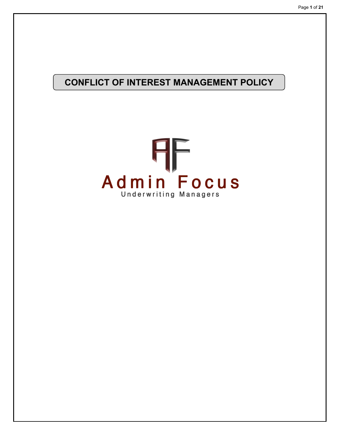# **CONFLICT OF INTEREST MANAGEMENT POLICY**

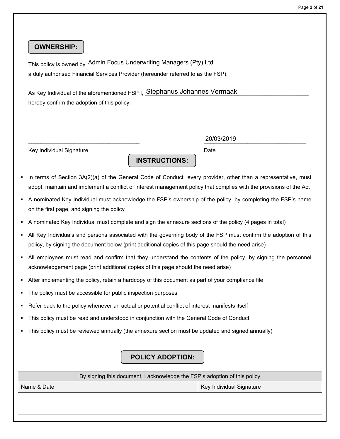# **OWNERSHIP:**

This policy is owned by  $\frac{\text{Admin} \: \text{Focus} \: \text{Understanding \: managers} \: (\text{Pty}) \: \text{Ltd}}{\text{Dissim} \: \text{Foisson} \: \text{Foisson} \: \text{Foisson} \: \text{Foisson} \: \text{Foisson} \: \text{Foisson} \: \text{Foisson} \: \text{Foisson} \: \text{Foisson} \: \text{Foisson} \: \text{Foisson} \: \text{Foisson} \: \text{Foisson} \: \text{Foisson} \: \text{Foisson} \: \text{Foisson} \: \text$ a duly authorised Financial Services Provider (hereunder referred to as the FSP).

As Key Individual of the aforementioned FSP I,  $\overline{\text{Stephanus} }$  Johannes Vermaak hereby confirm the adoption of this policy.

Key Individual Signature **Date** Date **Date** Date

 $\frac{2070372019}{2070372019}$ 20/03/2019

 In terms of Section 3A(2)(a) of the General Code of Conduct "every provider, other than a representative, must adopt, maintain and implement a conflict of interest management policy that complies with the provisions of the Act

**INSTRUCTIONS:**

- A nominated Key Individual must acknowledge the FSP's ownership of the policy, by completing the FSP's name on the first page, and signing the policy
- A nominated Key Individual must complete and sign the annexure sections of the policy (4 pages in total)
- All Key Individuals and persons associated with the governing body of the FSP must confirm the adoption of this policy, by signing the document below (print additional copies of this page should the need arise)
- All employees must read and confirm that they understand the contents of the policy, by signing the personnel acknowledgement page (print additional copies of this page should the need arise)
- After implementing the policy, retain a hardcopy of this document as part of your compliance file
- The policy must be accessible for public inspection purposes
- Refer back to the policy whenever an actual or potential conflict of interest manifests itself
- This policy must be read and understood in conjunction with the General Code of Conduct
- This policy must be reviewed annually (the annexure section must be updated and signed annually)

## **POLICY ADOPTION:**

| By signing this document, I acknowledge the FSP's adoption of this policy |  |
|---------------------------------------------------------------------------|--|
| Key Individual Signature<br>Name & Date                                   |  |
|                                                                           |  |
|                                                                           |  |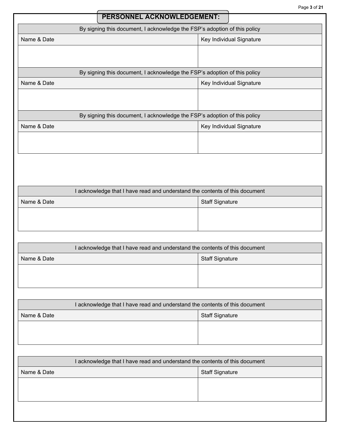| <b>PERSONNEL ACKNOWLEDGEMENT:</b>                                         |                          |
|---------------------------------------------------------------------------|--------------------------|
| By signing this document, I acknowledge the FSP's adoption of this policy |                          |
| Name & Date                                                               | Key Individual Signature |
|                                                                           |                          |
|                                                                           |                          |
| By signing this document, I acknowledge the FSP's adoption of this policy |                          |
| Name & Date                                                               | Key Individual Signature |
|                                                                           |                          |
|                                                                           |                          |
| By signing this document, I acknowledge the FSP's adoption of this policy |                          |
| Name & Date                                                               | Key Individual Signature |
|                                                                           |                          |
|                                                                           |                          |

| I acknowledge that I have read and understand the contents of this document |
|-----------------------------------------------------------------------------|
| <b>Staff Signature</b>                                                      |
|                                                                             |
|                                                                             |
|                                                                             |

| I acknowledge that I have read and understand the contents of this document |  |
|-----------------------------------------------------------------------------|--|
| <b>Staff Signature</b>                                                      |  |
|                                                                             |  |
|                                                                             |  |
|                                                                             |  |

| I acknowledge that I have read and understand the contents of this document |                        |
|-----------------------------------------------------------------------------|------------------------|
| Name & Date                                                                 | <b>Staff Signature</b> |
|                                                                             |                        |
|                                                                             |                        |
|                                                                             |                        |

| acknowledge that I have read and understand the contents of this document |  |
|---------------------------------------------------------------------------|--|
| Name & Date<br><b>Staff Signature</b>                                     |  |
|                                                                           |  |
|                                                                           |  |
|                                                                           |  |
|                                                                           |  |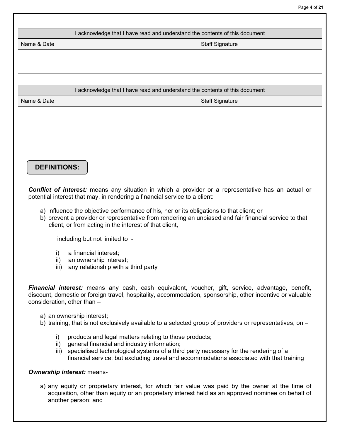| I acknowledge that I have read and understand the contents of this document |                        |  |
|-----------------------------------------------------------------------------|------------------------|--|
| Name & Date                                                                 | <b>Staff Signature</b> |  |
|                                                                             |                        |  |
|                                                                             |                        |  |

| I acknowledge that I have read and understand the contents of this document |  |
|-----------------------------------------------------------------------------|--|
| Staff Signature                                                             |  |
|                                                                             |  |
|                                                                             |  |
|                                                                             |  |

# **DEFINITIONS:**

*Conflict of interest:* means any situation in which a provider or a representative has an actual or potential interest that may, in rendering a financial service to a client:

- a) influence the objective performance of his, her or its obligations to that client; or
- b) prevent a provider or representative from rendering an unbiased and fair financial service to that client, or from acting in the interest of that client,

including but not limited to -

- i) a financial interest;
- ii) an ownership interest;
- iii) any relationship with a third party

*Financial interest:* means any cash, cash equivalent, voucher, gift, service, advantage, benefit, discount, domestic or foreign travel, hospitality, accommodation, sponsorship, other incentive or valuable consideration, other than –

- a) an ownership interest;
- b) training, that is not exclusively available to a selected group of providers or representatives, on
	- i) products and legal matters relating to those products;
	- ii) general financial and industry information;
	- iii) specialised technological systems of a third party necessary for the rendering of a financial service; but excluding travel and accommodations associated with that training

### *Ownership interest:* means-

a) any equity or proprietary interest, for which fair value was paid by the owner at the time of acquisition, other than equity or an proprietary interest held as an approved nominee on behalf of another person; and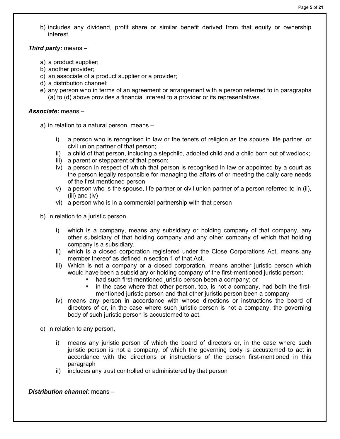b) includes any dividend, profit share or similar benefit derived from that equity or ownership interest.

## *Third party:* means –

- a) a product supplier;
- b) another provider;
- c) an associate of a product supplier or a provider;
- d) a distribution channel;
- e) any person who in terms of an agreement or arrangement with a person referred to in paragraphs (a) to (d) above provides a financial interest to a provider or its representatives.

## *Associate:* means –

- a) in relation to a natural person, means
	- i) a person who is recognised in law or the tenets of religion as the spouse, life partner, or civil union partner of that person;
	- ii) a child of that person, including a stepchild, adopted child and a child born out of wedlock;
	- iii) a parent or stepparent of that person;
	- iv) a person in respect of which that person is recognised in law or appointed by a court as the person legally responsible for managing the affairs of or meeting the daily care needs of the first mentioned person
	- v) a person who is the spouse, life partner or civil union partner of a person referred to in (ii), (iii) and (iv)
	- vi) a person who is in a commercial partnership with that person

b) in relation to a juristic person,

- i) which is a company, means any subsidiary or holding company of that company, any other subsidiary of that holding company and any other company of which that holding company is a subsidiary.
- ii) which is a closed corporation registered under the Close Corporations Act, means any member thereof as defined in section 1 of that Act.
- iii) Which is not a company or a closed corporation, means another juristic person which would have been a subsidiary or holding company of the first-mentioned juristic person:
	- had such first-mentioned juristic person been a company; or
	- in the case where that other person, too, is not a company, had both the firstmentioned juristic person and that other juristic person been a company
- iv) means any person in accordance with whose directions or instructions the board of directors of or, in the case where such juristic person is not a company, the governing body of such juristic person is accustomed to act.

c) in relation to any person,

- i) means any juristic person of which the board of directors or, in the case where such juristic person is not a company, of which the governing body is accustomed to act in accordance with the directions or instructions of the person first-mentioned in this paragraph
- ii) includes any trust controlled or administered by that person

## *Distribution channel:* means –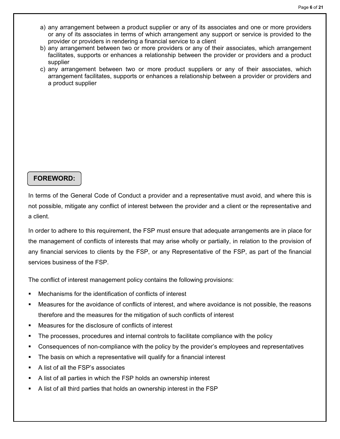- a) any arrangement between a product supplier or any of its associates and one or more providers or any of its associates in terms of which arrangement any support or service is provided to the provider or providers in rendering a financial service to a client
- b) any arrangement between two or more providers or any of their associates, which arrangement facilitates, supports or enhances a relationship between the provider or providers and a product supplier
- c) any arrangement between two or more product suppliers or any of their associates, which arrangement facilitates, supports or enhances a relationship between a provider or providers and a product supplier

## **FOREWORD:**

In terms of the General Code of Conduct a provider and a representative must avoid, and where this is not possible, mitigate any conflict of interest between the provider and a client or the representative and a client.

In order to adhere to this requirement, the FSP must ensure that adequate arrangements are in place for the management of conflicts of interests that may arise wholly or partially, in relation to the provision of any financial services to clients by the FSP, or any Representative of the FSP, as part of the financial services business of the FSP.

The conflict of interest management policy contains the following provisions:

- Mechanisms for the identification of conflicts of interest
- Measures for the avoidance of conflicts of interest, and where avoidance is not possible, the reasons therefore and the measures for the mitigation of such conflicts of interest
- Measures for the disclosure of conflicts of interest
- The processes, procedures and internal controls to facilitate compliance with the policy
- Consequences of non-compliance with the policy by the provider's employees and representatives
- The basis on which a representative will qualify for a financial interest
- A list of all the FSP's associates
- A list of all parties in which the FSP holds an ownership interest
- A list of all third parties that holds an ownership interest in the FSP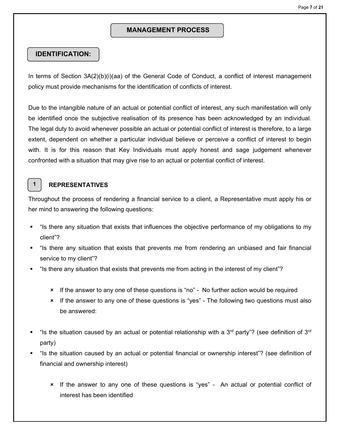## **MANAGEMENT PROCESS**

## **IDENTIFICATION:**

In terms of Section 3A(2)(b)(i)(aa) of the General Code of Conduct, a conflict of interest management policy must provide mechanisms for the identification of conflicts of interest.

Due to the intangible nature of an actual or potential conflict of interest, any such manifestation will only be identified once the subjective realisation of its presence has been acknowledged by an individual. The legal duty to avoid whenever possible an actual or potential conflict of interest is therefore, to a large extent, dependent on whether a particular individual believe or perceive a conflict of interest to begin with. It is for this reason that Key Individuals must apply honest and sage judgement whenever confronted with a situation that may give rise to an actual or potential conflict of interest.

## **1**

## **REPRESENTATIVES**

Throughout the process of rendering a financial service to a client, a Representative must apply his or her mind to answering the following questions:

- "Is there any situation that exists that influences the objective performance of my obligations to my client"?
- "Is there any situation that exists that prevents me from rendering an unbiased and fair financial service to my client"?
- "Is there any situation that exists that prevents me from acting in the interest of my client"?
	- If the answer to any one of these questions is "no" No further action would be required
	- If the answer to any one of these questions is "yes" The following two questions must also be answered:
- " "Is the situation caused by an actual or potential relationship with a 3<sup>rd</sup> party"? (see definition of 3<sup>rd</sup> party)
- "Is the situation caused by an actual or potential financial or ownership interest"? (see definition of financial and ownership interest)
	- If the answer to any one of these questions is "yes" An actual or potential conflict of interest has been identified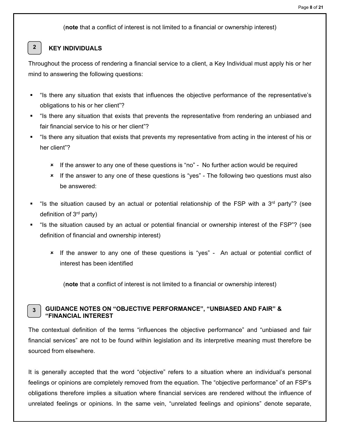(**note** that a conflict of interest is not limited to a financial or ownership interest)

#### **KEY INDIVIDUALS 2**

Throughout the process of rendering a financial service to a client, a Key Individual must apply his or her mind to answering the following questions:

- "Is there any situation that exists that influences the objective performance of the representative's obligations to his or her client"?
- "Is there any situation that exists that prevents the representative from rendering an unbiased and fair financial service to his or her client"?
- "Is there any situation that exists that prevents my representative from acting in the interest of his or her client"?
	- If the answer to any one of these questions is "no" No further action would be required
	- \* If the answer to any one of these questions is "yes" The following two questions must also be answered:
- "Is the situation caused by an actual or potential relationship of the FSP with a 3<sup>rd</sup> party"? (see definition of 3rd party)
- "Is the situation caused by an actual or potential financial or ownership interest of the FSP"? (see definition of financial and ownership interest)
	- If the answer to any one of these questions is "yes" An actual or potential conflict of interest has been identified

(**note** that a conflict of interest is not limited to a financial or ownership interest)

#### **GUIDANCE NOTES ON "OBJECTIVE PERFORMANCE", "UNBIASED AND FAIR" & "FINANCIAL INTEREST 3**

The contextual definition of the terms "influences the objective performance" and "unbiased and fair financial services" are not to be found within legislation and its interpretive meaning must therefore be sourced from elsewhere.

It is generally accepted that the word "objective" refers to a situation where an individual's personal feelings or opinions are completely removed from the equation. The "objective performance" of an FSP's obligations therefore implies a situation where financial services are rendered without the influence of unrelated feelings or opinions. In the same vein, "unrelated feelings and opinions" denote separate,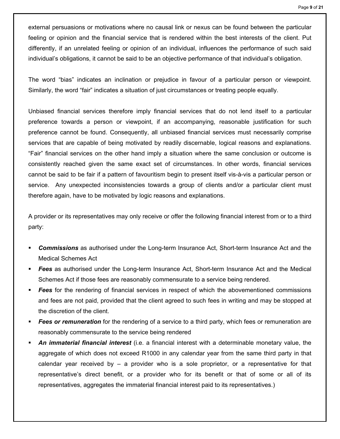external persuasions or motivations where no causal link or nexus can be found between the particular feeling or opinion and the financial service that is rendered within the best interests of the client. Put differently, if an unrelated feeling or opinion of an individual, influences the performance of such said individual's obligations, it cannot be said to be an objective performance of that individual's obligation.

The word "bias" indicates an inclination or prejudice in favour of a particular person or viewpoint. Similarly, the word "fair" indicates a situation of just circumstances or treating people equally.

Unbiased financial services therefore imply financial services that do not lend itself to a particular preference towards a person or viewpoint, if an accompanying, reasonable justification for such preference cannot be found. Consequently, all unbiased financial services must necessarily comprise services that are capable of being motivated by readily discernable, logical reasons and explanations. "Fair" financial services on the other hand imply a situation where the same conclusion or outcome is consistently reached given the same exact set of circumstances. In other words, financial services cannot be said to be fair if a pattern of favouritism begin to present itself vis-à-vis a particular person or service. Any unexpected inconsistencies towards a group of clients and/or a particular client must therefore again, have to be motivated by logic reasons and explanations.

A provider or its representatives may only receive or offer the following financial interest from or to a third party:

- *Commissions* as authorised under the Long-term Insurance Act, Short-term Insurance Act and the Medical Schemes Act
- *Fees* as authorised under the Long-term Insurance Act, Short-term Insurance Act and the Medical Schemes Act if those fees are reasonably commensurate to a service being rendered.
- **Fees** for the rendering of financial services in respect of which the abovementioned commissions and fees are not paid, provided that the client agreed to such fees in writing and may be stopped at the discretion of the client.
- **Fees or remuneration** for the rendering of a service to a third party, which fees or remuneration are reasonably commensurate to the service being rendered
- *An immaterial financial interest* (i.e. a financial interest with a determinable monetary value, the aggregate of which does not exceed R1000 in any calendar year from the same third party in that calendar year received by  $-$  a provider who is a sole proprietor, or a representative for that representative's direct benefit, or a provider who for its benefit or that of some or all of its representatives, aggregates the immaterial financial interest paid to its representatives.)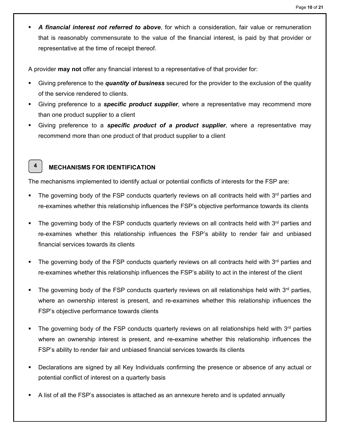*A financial interest not referred to above*, for which a consideration, fair value or remuneration that is reasonably commensurate to the value of the financial interest, is paid by that provider or representative at the time of receipt thereof.

A provider **may not** offer any financial interest to a representative of that provider for:

- Giving preference to the *quantity of business* secured for the provider to the exclusion of the quality of the service rendered to clients.
- Giving preference to a *specific product supplier*, where a representative may recommend more than one product supplier to a client
- Giving preference to a *specific product of a product supplier*, where a representative may recommend more than one product of that product supplier to a client

## **MECHANISMS FOR IDENTIFICATION**

**4**

The mechanisms implemented to identify actual or potential conflicts of interests for the FSP are:

- The governing body of the FSP conducts quarterly reviews on all contracts held with  $3<sup>rd</sup>$  parties and re-examines whether this relationship influences the FSP's objective performance towards its clients
- The governing body of the FSP conducts quarterly reviews on all contracts held with  $3<sup>rd</sup>$  parties and re-examines whether this relationship influences the FSP's ability to render fair and unbiased financial services towards its clients
- The governing body of the FSP conducts quarterly reviews on all contracts held with  $3<sup>rd</sup>$  parties and re-examines whether this relationship influences the FSP's ability to act in the interest of the client
- The governing body of the FSP conducts quarterly reviews on all relationships held with  $3<sup>rd</sup>$  parties, where an ownership interest is present, and re-examines whether this relationship influences the FSP's objective performance towards clients
- The governing body of the FSP conducts quarterly reviews on all relationships held with  $3<sup>rd</sup>$  parties where an ownership interest is present, and re-examine whether this relationship influences the FSP's ability to render fair and unbiased financial services towards its clients
- Declarations are signed by all Key Individuals confirming the presence or absence of any actual or potential conflict of interest on a quarterly basis
- A list of all the FSP's associates is attached as an annexure hereto and is updated annually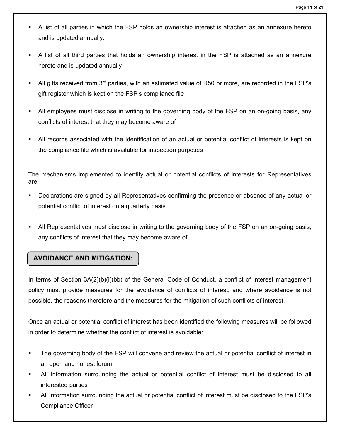- A list of all parties in which the FSP holds an ownership interest is attached as an annexure hereto and is updated annually.
- A list of all third parties that holds an ownership interest in the FSP is attached as an annexure hereto and is updated annually
- All gifts received from 3<sup>rd</sup> parties, with an estimated value of R50 or more, are recorded in the FSP's gift register which is kept on the FSP's compliance file
- All employees must disclose in writing to the governing body of the FSP on an on-going basis, any conflicts of interest that they may become aware of
- All records associated with the identification of an actual or potential conflict of interests is kept on the compliance file which is available for inspection purposes

The mechanisms implemented to identify actual or potential conflicts of interests for Representatives are:

- Declarations are signed by all Representatives confirming the presence or absence of any actual or potential conflict of interest on a quarterly basis
- All Representatives must disclose in writing to the governing body of the FSP on an on-going basis, any conflicts of interest that they may become aware of

## **AVOIDANCE AND MITIGATION:**

In terms of Section 3A(2)(b)(i)(bb) of the General Code of Conduct, a conflict of interest management policy must provide measures for the avoidance of conflicts of interest, and where avoidance is not possible, the reasons therefore and the measures for the mitigation of such conflicts of interest.

Once an actual or potential conflict of interest has been identified the following measures will be followed in order to determine whether the conflict of interest is avoidable:

- The governing body of the FSP will convene and review the actual or potential conflict of interest in an open and honest forum:
- All information surrounding the actual or potential conflict of interest must be disclosed to all interested parties
- All information surrounding the actual or potential conflict of interest must be disclosed to the FSP's Compliance Officer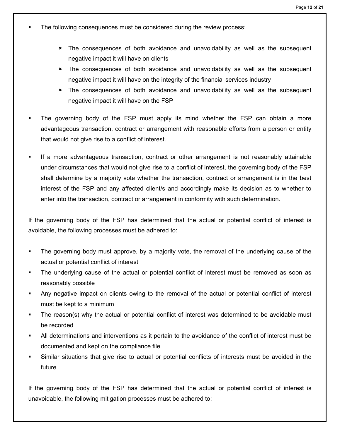- The following consequences must be considered during the review process:
	- The consequences of both avoidance and unavoidability as well as the subsequent negative impact it will have on clients
	- The consequences of both avoidance and unavoidability as well as the subsequent negative impact it will have on the integrity of the financial services industry
	- The consequences of both avoidance and unavoidability as well as the subsequent negative impact it will have on the FSP
- The governing body of the FSP must apply its mind whether the FSP can obtain a more advantageous transaction, contract or arrangement with reasonable efforts from a person or entity that would not give rise to a conflict of interest.
- If a more advantageous transaction, contract or other arrangement is not reasonably attainable under circumstances that would not give rise to a conflict of interest, the governing body of the FSP shall determine by a majority vote whether the transaction, contract or arrangement is in the best interest of the FSP and any affected client/s and accordingly make its decision as to whether to enter into the transaction, contract or arrangement in conformity with such determination.

If the governing body of the FSP has determined that the actual or potential conflict of interest is avoidable, the following processes must be adhered to:

- The governing body must approve, by a majority vote, the removal of the underlying cause of the actual or potential conflict of interest
- The underlying cause of the actual or potential conflict of interest must be removed as soon as reasonably possible
- Any negative impact on clients owing to the removal of the actual or potential conflict of interest must be kept to a minimum
- The reason(s) why the actual or potential conflict of interest was determined to be avoidable must be recorded
- All determinations and interventions as it pertain to the avoidance of the conflict of interest must be documented and kept on the compliance file
- Similar situations that give rise to actual or potential conflicts of interests must be avoided in the future

If the governing body of the FSP has determined that the actual or potential conflict of interest is unavoidable, the following mitigation processes must be adhered to: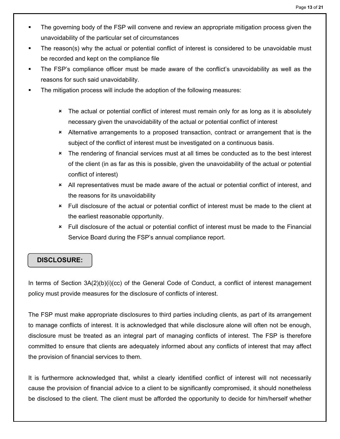- The governing body of the FSP will convene and review an appropriate mitigation process given the unavoidability of the particular set of circumstances
- The reason(s) why the actual or potential conflict of interest is considered to be unavoidable must be recorded and kept on the compliance file
- The FSP's compliance officer must be made aware of the conflict's unavoidability as well as the reasons for such said unavoidability.
- The mitigation process will include the adoption of the following measures:
	- **\*** The actual or potential conflict of interest must remain only for as long as it is absolutely necessary given the unavoidability of the actual or potential conflict of interest
	- Alternative arrangements to a proposed transaction, contract or arrangement that is the subject of the conflict of interest must be investigated on a continuous basis.
	- \* The rendering of financial services must at all times be conducted as to the best interest of the client (in as far as this is possible, given the unavoidability of the actual or potential conflict of interest)
	- All representatives must be made aware of the actual or potential conflict of interest, and the reasons for its unavoidability
	- Full disclosure of the actual or potential conflict of interest must be made to the client at the earliest reasonable opportunity.
	- Full disclosure of the actual or potential conflict of interest must be made to the Financial Service Board during the FSP's annual compliance report.

# **DISCLOSURE:**

In terms of Section 3A(2)(b)(i)(cc) of the General Code of Conduct, a conflict of interest management policy must provide measures for the disclosure of conflicts of interest.

The FSP must make appropriate disclosures to third parties including clients, as part of its arrangement to manage conflicts of interest. It is acknowledged that while disclosure alone will often not be enough, disclosure must be treated as an integral part of managing conflicts of interest. The FSP is therefore committed to ensure that clients are adequately informed about any conflicts of interest that may affect the provision of financial services to them.

It is furthermore acknowledged that, whilst a clearly identified conflict of interest will not necessarily cause the provision of financial advice to a client to be significantly compromised, it should nonetheless be disclosed to the client. The client must be afforded the opportunity to decide for him/herself whether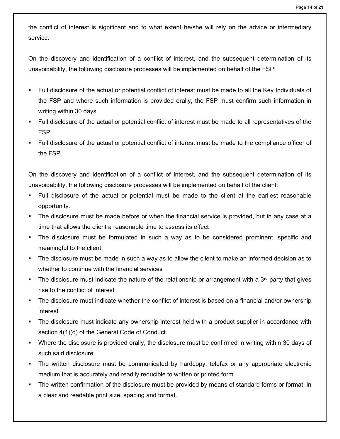the conflict of interest is significant and to what extent he/she will rely on the advice or intermediary service.

On the discovery and identification of a conflict of interest, and the subsequent determination of its unavoidability, the following disclosure processes will be implemented on behalf of the FSP:

- Full disclosure of the actual or potential conflict of interest must be made to all the Key Individuals of the FSP and where such information is provided orally, the FSP must confirm such information in writing within 30 days
- Full disclosure of the actual or potential conflict of interest must be made to all representatives of the FSP.
- Full disclosure of the actual or potential conflict of interest must be made to the compliance officer of the FSP.

On the discovery and identification of a conflict of interest, and the subsequent determination of its unavoidability, the following disclosure processes will be implemented on behalf of the client:

- Full disclosure of the actual or potential must be made to the client at the earliest reasonable opportunity.
- The disclosure must be made before or when the financial service is provided, but in any case at a time that allows the client a reasonable time to assess its effect
- The disclosure must be formulated in such a way as to be considered prominent, specific and meaningful to the client
- The disclosure must be made in such a way as to allow the client to make an informed decision as to whether to continue with the financial services
- The disclosure must indicate the nature of the relationship or arrangement with a  $3<sup>rd</sup>$  party that gives rise to the conflict of interest
- The disclosure must indicate whether the conflict of interest is based on a financial and/or ownership interest
- The disclosure must indicate any ownership interest held with a product supplier in accordance with section 4(1)(d) of the General Code of Conduct.
- Where the disclosure is provided orally, the disclosure must be confirmed in writing within 30 days of such said disclosure
- The written disclosure must be communicated by hardcopy, telefax or any appropriate electronic medium that is accurately and readily reducible to written or printed form.
- The written confirmation of the disclosure must be provided by means of standard forms or format, in a clear and readable print size, spacing and format.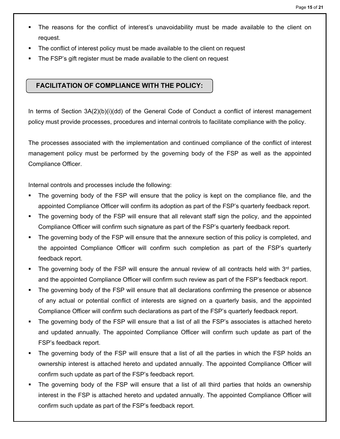- The reasons for the conflict of interest's unavoidability must be made available to the client on request.
- The conflict of interest policy must be made available to the client on request
- The FSP's gift register must be made available to the client on request

## **FACILITATION OF COMPLIANCE WITH THE POLICY:**

In terms of Section 3A(2)(b)(i)(dd) of the General Code of Conduct a conflict of interest management policy must provide processes, procedures and internal controls to facilitate compliance with the policy.

The processes associated with the implementation and continued compliance of the conflict of interest management policy must be performed by the governing body of the FSP as well as the appointed Compliance Officer.

Internal controls and processes include the following:

- The governing body of the FSP will ensure that the policy is kept on the compliance file, and the appointed Compliance Officer will confirm its adoption as part of the FSP's quarterly feedback report.
- The governing body of the FSP will ensure that all relevant staff sign the policy, and the appointed Compliance Officer will confirm such signature as part of the FSP's quarterly feedback report.
- **The governing body of the FSP will ensure that the annexure section of this policy is completed, and** the appointed Compliance Officer will confirm such completion as part of the FSP's quarterly feedback report.
- The governing body of the FSP will ensure the annual review of all contracts held with  $3<sup>rd</sup>$  parties, and the appointed Compliance Officer will confirm such review as part of the FSP's feedback report.
- The governing body of the FSP will ensure that all declarations confirming the presence or absence of any actual or potential conflict of interests are signed on a quarterly basis, and the appointed Compliance Officer will confirm such declarations as part of the FSP's quarterly feedback report.
- The governing body of the FSP will ensure that a list of all the FSP's associates is attached hereto and updated annually. The appointed Compliance Officer will confirm such update as part of the FSP's feedback report.
- The governing body of the FSP will ensure that a list of all the parties in which the FSP holds an ownership interest is attached hereto and updated annually. The appointed Compliance Officer will confirm such update as part of the FSP's feedback report.
- The governing body of the FSP will ensure that a list of all third parties that holds an ownership interest in the FSP is attached hereto and updated annually. The appointed Compliance Officer will confirm such update as part of the FSP's feedback report.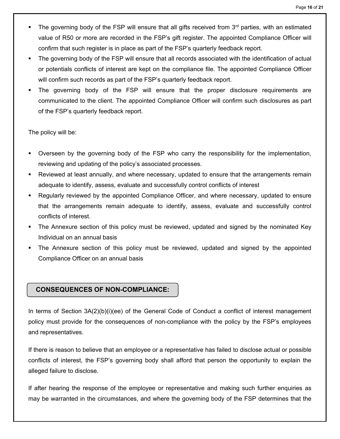- The governing body of the FSP will ensure that all gifts received from  $3<sup>rd</sup>$  parties, with an estimated value of R50 or more are recorded in the FSP's gift register. The appointed Compliance Officer will confirm that such register is in place as part of the FSP's quarterly feedback report.
- The governing body of the FSP will ensure that all records associated with the identification of actual or potentials conflicts of interest are kept on the compliance file. The appointed Compliance Officer will confirm such records as part of the FSP's quarterly feedback report.
- The governing body of the FSP will ensure that the proper disclosure requirements are communicated to the client. The appointed Compliance Officer will confirm such disclosures as part of the FSP's quarterly feedback report.

The policy will be:

- Overseen by the governing body of the FSP who carry the responsibility for the implementation, reviewing and updating of the policy's associated processes.
- Reviewed at least annually, and where necessary, updated to ensure that the arrangements remain adequate to identify, assess, evaluate and successfully control conflicts of interest
- Regularly reviewed by the appointed Compliance Officer, and where necessary, updated to ensure that the arrangements remain adequate to identify, assess, evaluate and successfully control conflicts of interest.
- The Annexure section of this policy must be reviewed, updated and signed by the nominated Key Individual on an annual basis
- The Annexure section of this policy must be reviewed, updated and signed by the appointed Compliance Officer on an annual basis

## **CONSEQUENCES OF NON-COMPLIANCE:**

In terms of Section 3A(2)(b)(i)(ee) of the General Code of Conduct a conflict of interest management policy must provide for the consequences of non-compliance with the policy by the FSP's employees and representatives.

If there is reason to believe that an employee or a representative has failed to disclose actual or possible conflicts of interest, the FSP's governing body shall afford that person the opportunity to explain the alleged failure to disclose.

If after hearing the response of the employee or representative and making such further enquiries as may be warranted in the circumstances, and where the governing body of the FSP determines that the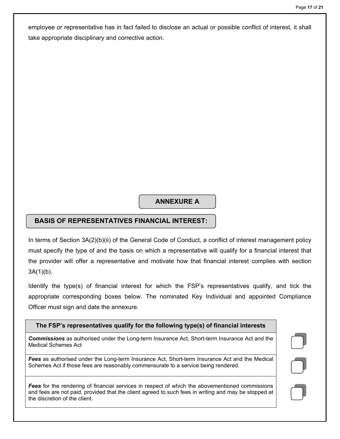employee or representative has in fact failed to disclose an actual or possible conflict of interest, it shall take appropriate disciplinary and corrective action.

# **ANNEXURE A**

## **BASIS OF REPRESENTATIVES FINANCIAL INTEREST:**

In terms of Section 3A(2)(b)(ii) of the General Code of Conduct, a conflict of interest management policy must specify the type of and the basis on which a representative will qualify for a financial interest that the provider will offer a representative and motivate how that financial interest complies with section  $3A(1)(b)$ .

Identify the type(s) of financial interest for which the FSP's representatives qualify, and tick the appropriate corresponding boxes below. The nominated Key Individual and appointed Compliance Officer must sign and date the annexure.

# **The FSP's representatives qualify for the following type(s) of financial interests**  *Fees* for the rendering of financial services in respect of which the abovementioned commissions and fees are not paid, provided that the client agreed to such fees in writing and may be stopped at the discretion of the client.

*Commissions* as authorised under the Long-term Insurance Act, Short-term Insurance Act and the Medical Schemes Act

*Fees* as authorised under the Long-term Insurance Act, Short-term Insurance Act and the Medical Schemes Act if those fees are reasonably commensurate to a service being rendered.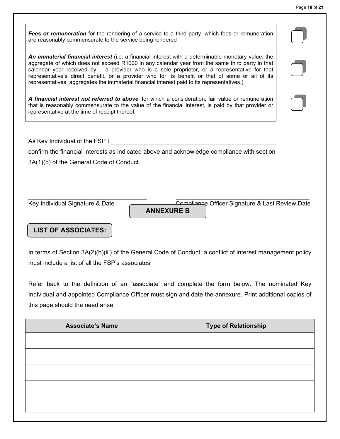*Fees or remuneration* for the rendering of a service to a third party, which fees or remuneration are reasonably commensurate to the service being rendered

*An immaterial financial interest* (i.e. a financial interest with a determinable monetary value, the aggregate of which does not exceed R1000 in any calendar year from the same third party in that calendar year received by – a provider who is a sole proprietor, or a representative for that representative's direct benefit, or a provider who for its benefit or that of some or all of its representatives, aggregates the immaterial financial interest paid to its representatives.)

*A financial interest not referred to above*, for which a consideration, fair value or remuneration that is reasonably commensurate to the value of the financial interest, is paid by that provider or representative at the time of receipt thereof.

As Key Individual of the FSP I,

confirm the financial interests as indicated above and acknowledge compliance with section

3A(1)(b) of the General Code of Conduct.

**ANNEXURE B**

\_\_\_\_\_\_\_\_\_\_\_\_\_\_\_\_\_\_\_\_\_\_\_\_\_\_\_\_\_\_\_\_ \_\_\_\_\_\_\_\_\_\_\_\_\_\_\_\_\_\_\_\_\_\_\_\_\_\_\_\_\_\_\_\_\_\_\_\_

Key Individual Signature & Date Compliance Officer Signature & Last Review Date

## **LIST OF ASSOCIATES:**

In terms of Section 3A(2)(b)(iii) of the General Code of Conduct, a conflict of interest management policy must include a list of all the FSP's associates

Refer back to the definition of an "associate" and complete the form below. The nominated Key Individual and appointed Compliance Officer must sign and date the annexure. Print additional copies of this page should the need arise.

| <b>Associate's Name</b> | <b>Type of Relationship</b> |
|-------------------------|-----------------------------|
|                         |                             |
|                         |                             |
|                         |                             |
|                         |                             |
|                         |                             |
|                         |                             |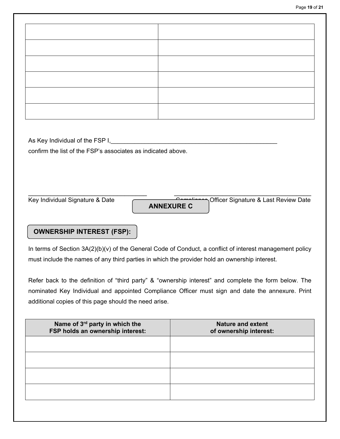As Key Individual of the FSP I,

confirm the list of the FSP's associates as indicated above.

\_\_\_\_\_\_\_\_\_\_\_\_\_\_\_\_\_\_\_\_\_\_\_\_\_\_\_\_\_\_\_\_ \_\_\_\_\_\_\_\_\_\_\_\_\_\_\_\_\_\_\_\_\_\_\_\_\_\_\_\_\_\_\_\_\_\_\_\_\_ Key Individual Signature & Date Compliance Officer Signature & Last Review Date **ANNEXURE C**

## **OWNERSHIP INTEREST (FSP):**

In terms of Section 3A(2)(b)(v) of the General Code of Conduct, a conflict of interest management policy must include the names of any third parties in which the provider hold an ownership interest.

Refer back to the definition of "third party" & "ownership interest" and complete the form below. The nominated Key Individual and appointed Compliance Officer must sign and date the annexure. Print additional copies of this page should the need arise.

| Name of 3 <sup>rd</sup> party in which the<br>FSP holds an ownership interest: | <b>Nature and extent</b><br>of ownership interest: |
|--------------------------------------------------------------------------------|----------------------------------------------------|
|                                                                                |                                                    |
|                                                                                |                                                    |
|                                                                                |                                                    |
|                                                                                |                                                    |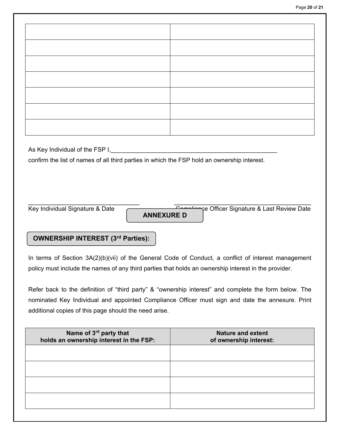As Key Individual of the FSP I,

confirm the list of names of all third parties in which the FSP hold an ownership interest.

**ANNEXURE D**

\_\_\_\_\_\_\_\_\_\_\_\_\_\_\_\_\_\_\_\_\_\_\_\_\_\_\_\_\_\_ \_\_\_\_\_\_\_\_\_\_\_\_\_\_\_\_\_\_\_\_\_\_\_\_\_\_\_\_\_\_\_\_\_\_\_\_\_ Key Individual Signature & Date Compliance Officer Signature & Last Review Date

## **OWNERSHIP INTEREST (3rd Parties):**

In terms of Section 3A(2)(b)(vii) of the General Code of Conduct, a conflict of interest management policy must include the names of any third parties that holds an ownership interest in the provider.

Refer back to the definition of "third party" & "ownership interest" and complete the form below. The nominated Key Individual and appointed Compliance Officer must sign and date the annexure. Print additional copies of this page should the need arise.

| Name of 3rd party that<br>holds an ownership interest in the FSP: | <b>Nature and extent</b><br>of ownership interest: |
|-------------------------------------------------------------------|----------------------------------------------------|
|                                                                   |                                                    |
|                                                                   |                                                    |
|                                                                   |                                                    |
|                                                                   |                                                    |